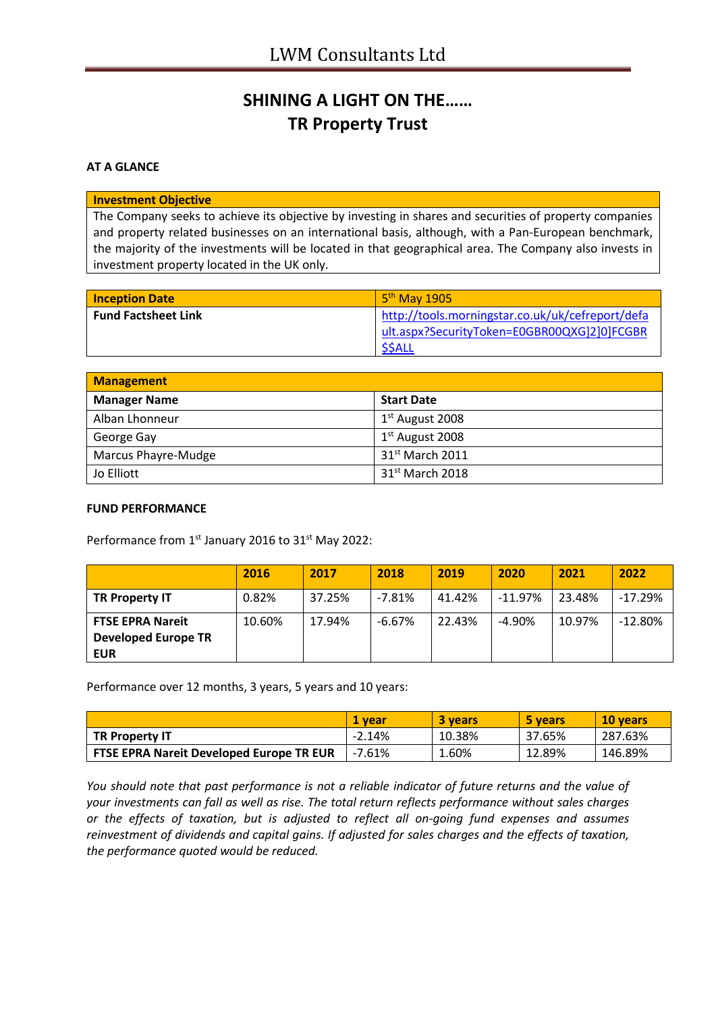## **SHINING A LIGHT ON THE…… TR Property Trust**

#### **AT A GLANCE**

#### **Investment Objective**

The Company seeks to achieve its objective by investing in shares and securities of property companies and property related businesses on an international basis, although, with a Pan-European benchmark, the majority of the investments will be located in that geographical area. The Company also invests in investment property located in the UK only.

| <b>Inception Date</b>      | $5th$ May 1905                                                                                  |
|----------------------------|-------------------------------------------------------------------------------------------------|
| <b>Fund Factsheet Link</b> | http://tools.morningstar.co.uk/uk/cefreport/defa<br>ult.aspx?SecurityToken=E0GBR00QXG]2]0]FCGBR |
|                            | \$\$ALL                                                                                         |

| <b>Management</b>   |                             |  |
|---------------------|-----------------------------|--|
| <b>Manager Name</b> | <b>Start Date</b>           |  |
| Alban Lhonneur      | 1 <sup>st</sup> August 2008 |  |
| George Gay          | $1st$ August 2008           |  |
| Marcus Phayre-Mudge | 31 <sup>st</sup> March 2011 |  |
| Jo Elliott          | 31 <sup>st</sup> March 2018 |  |

### **FUND PERFORMANCE**

Performance from 1<sup>st</sup> January 2016 to 31<sup>st</sup> May 2022:

|                                          | 2016   | 2017   | 2018      | 2019   | 2020       | 2021   | 2022       |
|------------------------------------------|--------|--------|-----------|--------|------------|--------|------------|
| <b>TR Property IT</b>                    | 0.82%  | 37.25% | $-7.81%$  | 41.42% | $-11.97\%$ | 23.48% | $-17.29%$  |
| <b>FTSE EPRA Nareit</b>                  | 10.60% | 17.94% | $-6.67\%$ | 22.43% | $-4.90\%$  | 10.97% | $-12.80\%$ |
| <b>Developed Europe TR</b><br><b>EUR</b> |        |        |           |        |            |        |            |

Performance over 12 months, 3 years, 5 years and 10 years:

|                                                 | 1 vear   | 3 years | 5 years | 10 years |
|-------------------------------------------------|----------|---------|---------|----------|
| <b>TR Property IT</b>                           | $-2.14%$ | 10.38%  | 37.65%  | 287.63%  |
| <b>FTSE EPRA Nareit Developed Europe TR EUR</b> | $-7.61%$ | 1.60%   | 12.89%  | 146.89%  |

*You should note that past performance is not a reliable indicator of future returns and the value of your investments can fall as well as rise. The total return reflects performance without sales charges or the effects of taxation, but is adjusted to reflect all on-going fund expenses and assumes reinvestment of dividends and capital gains. If adjusted for sales charges and the effects of taxation, the performance quoted would be reduced.*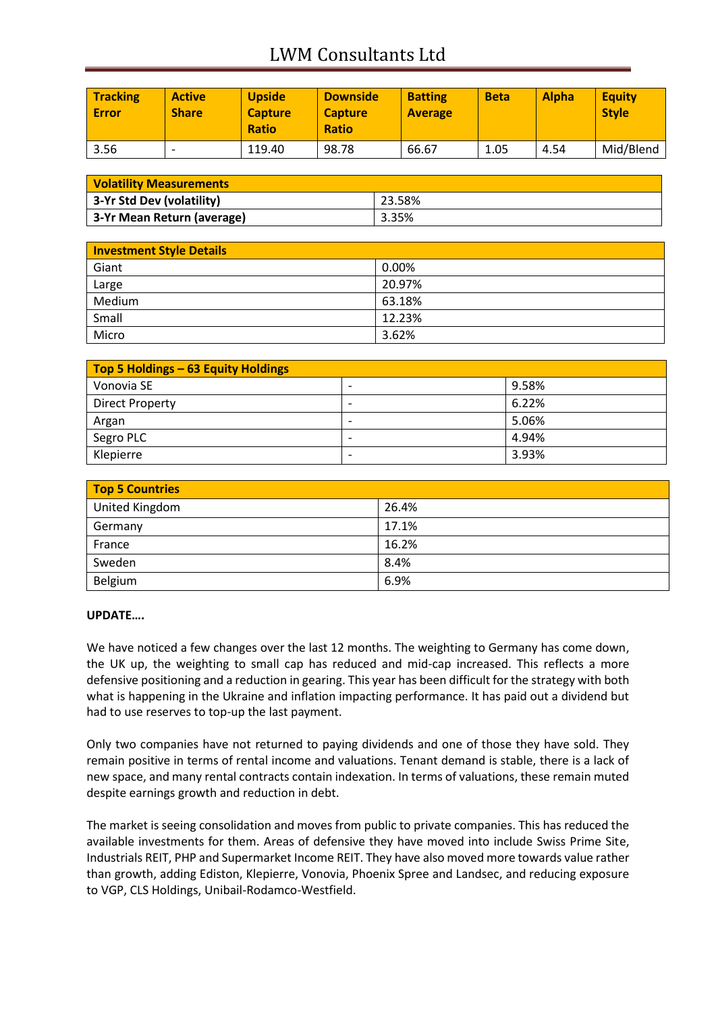# LWM Consultants Ltd

| <b>Tracking</b><br><b>Error</b> | <b>Active</b><br><b>Share</b> | <b>Upside</b><br><b>Capture</b><br><b>Ratio</b> | <b>Downside</b><br><b>Capture</b><br><b>Ratio</b> | <b>Batting</b><br><b>Average</b> | <b>Beta</b> | <b>Alpha</b> | <b>Equity</b><br><b>Style</b> |
|---------------------------------|-------------------------------|-------------------------------------------------|---------------------------------------------------|----------------------------------|-------------|--------------|-------------------------------|
| 3.56                            |                               | 119.40                                          | 98.78                                             | 66.67                            | 1.05        | 4.54         | Mid/Blend                     |

| <b>Volatility Measurements</b> |        |  |
|--------------------------------|--------|--|
| 3-Yr Std Dev (volatility)      | 23.58% |  |
| 3-Yr Mean Return (average)     | 3.35%  |  |

| <b>Investment Style Details</b> |        |
|---------------------------------|--------|
| Giant                           | 0.00%  |
| Large                           | 20.97% |
| Medium                          | 63.18% |
| Small                           | 12.23% |
| Micro                           | 3.62%  |

| Top 5 Holdings – 63 Equity Holdings |                          |       |  |
|-------------------------------------|--------------------------|-------|--|
| Vonovia SE                          | $\overline{\phantom{0}}$ | 9.58% |  |
| <b>Direct Property</b>              |                          | 6.22% |  |
| Argan                               | $\overline{\phantom{0}}$ | 5.06% |  |
| Segro PLC                           | $\overline{\phantom{0}}$ | 4.94% |  |
| Klepierre                           |                          | 3.93% |  |

| Top 5 Countries |       |  |
|-----------------|-------|--|
| United Kingdom  | 26.4% |  |
| Germany         | 17.1% |  |
| France          | 16.2% |  |
| Sweden          | 8.4%  |  |
| Belgium         | 6.9%  |  |

### **UPDATE….**

We have noticed a few changes over the last 12 months. The weighting to Germany has come down, the UK up, the weighting to small cap has reduced and mid-cap increased. This reflects a more defensive positioning and a reduction in gearing. This year has been difficult for the strategy with both what is happening in the Ukraine and inflation impacting performance. It has paid out a dividend but had to use reserves to top-up the last payment.

Only two companies have not returned to paying dividends and one of those they have sold. They remain positive in terms of rental income and valuations. Tenant demand is stable, there is a lack of new space, and many rental contracts contain indexation. In terms of valuations, these remain muted despite earnings growth and reduction in debt.

The market is seeing consolidation and moves from public to private companies. This has reduced the available investments for them. Areas of defensive they have moved into include Swiss Prime Site, Industrials REIT, PHP and Supermarket Income REIT. They have also moved more towards value rather than growth, adding Ediston, Klepierre, Vonovia, Phoenix Spree and Landsec, and reducing exposure to VGP, CLS Holdings, Unibail-Rodamco-Westfield.